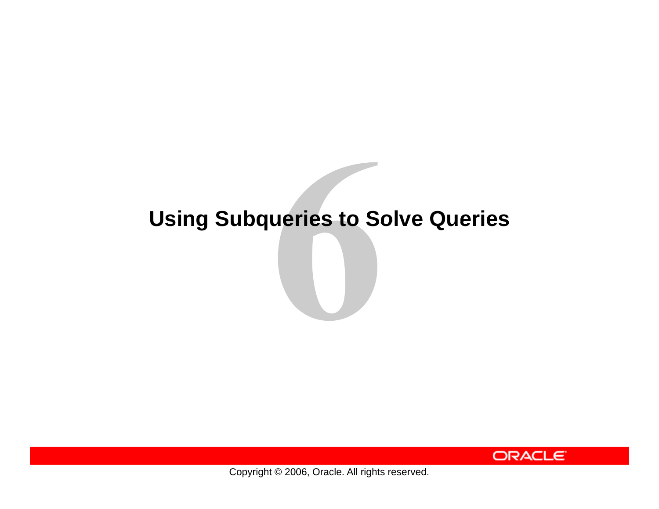## **Using Subqueries to Solve Queries**



Copyright © 2006, Oracle. All rights reserved.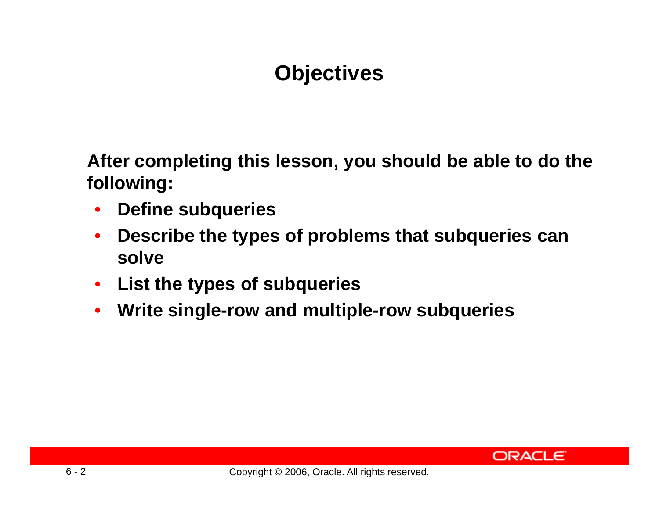# **Objectives**

After completing this lesson, you should be able to do the **following:**

- $\bullet$ **Define subqueries**
- $\bullet$  **Describe the types of problems that subqueries can solve**
- $\bullet$ **List the types of subqueries**
- $\bullet$ **Write single-row and multiple-row subqueries**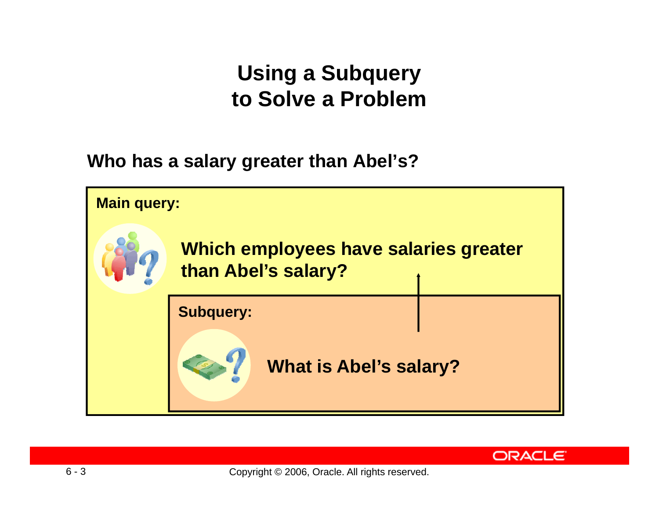## **Using a Subquery t S l P bl to Solve a Problem**

**Who has <sup>a</sup> salary greater than Abel's?**



**ORACLE**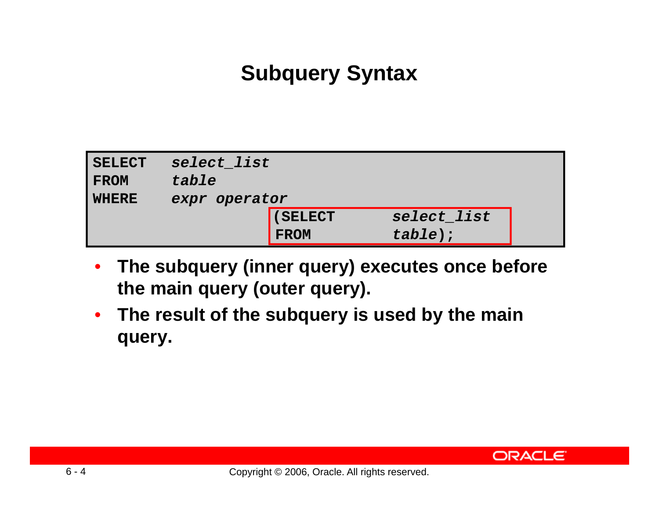# **Subquery Syntax**

| <b>SELECT</b> | select list   |                        |                        |  |
|---------------|---------------|------------------------|------------------------|--|
| <b>FROM</b>   | table         |                        |                        |  |
| <b>WHERE</b>  | expr operator |                        |                        |  |
|               |               | (SELECT<br><b>FROM</b> | select list<br>table); |  |

- $\bullet$  **The subquery (inner query) executes once before the main query (outer query) query).**
- $\bullet$  **The result of the subquery is used by the main query.**

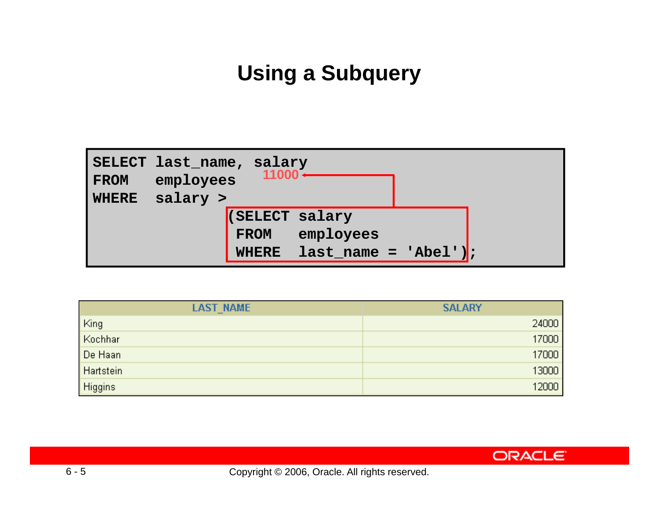# **Using a Subquery**

| <b>FROM</b><br><b>WHERE</b>                                | employees<br>salary > | SELECT last_name, salary |
|------------------------------------------------------------|-----------------------|--------------------------|
| (SELECT salary<br>employees<br><b>FROM</b><br><b>WHERE</b> |                       | $last name = 'Abel')$ ;  |

| <b>LAST NAME</b> | <b>SALARY</b> |
|------------------|---------------|
| King             | 24000         |
| Kochhar          | 17000         |
| De Haan          | 17000         |
| <b>Hartstein</b> | 13000         |
| Higgins          | 12000         |

**ORACLE**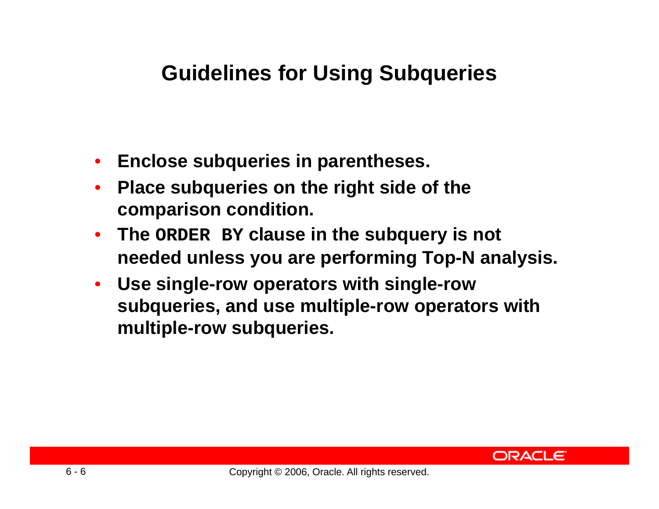### **Guidelines for Using Subqueries**

- •**Enclose subqueries in parentheses parentheses.**
- • **Place subqueries on the right side of the comparison condition.**
- **The ORDER BY clause in the subquery is not needed unless you are performing Top-N analysis.**
- $\bullet$  **Use single -row operators with single row -row subqueries, and use multiple-row operators with multiple-row subqueries.**

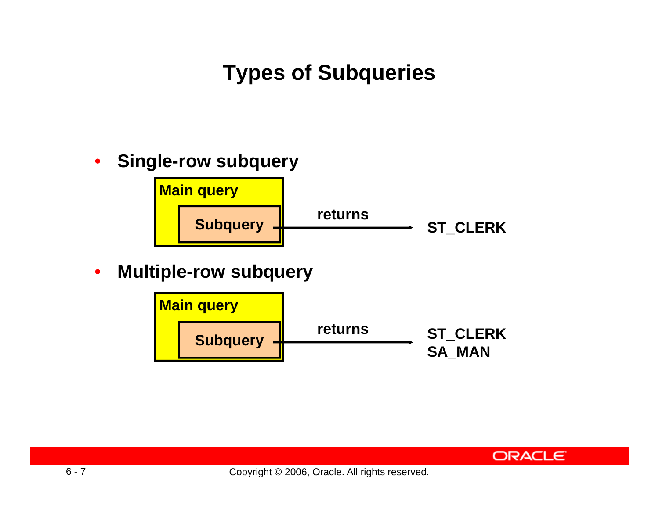# **Types of Subqueries**

 $\bullet$ **Single-row subquery** 



 $\bullet$ **Multiple-row subquery**



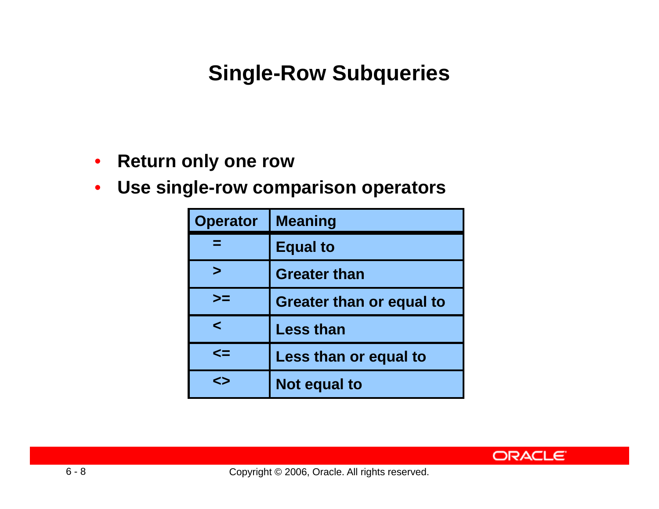## **Single-Row Subqueries**

- $\bullet$ **Return only one row**
- $\bullet$ **Use single-row comparison operators**

| <b>Operator</b> | <b>Meaning</b>                  |
|-----------------|---------------------------------|
|                 | <b>Equal to</b>                 |
| $\geq$          | <b>Greater than</b>             |
| $>=$            | <b>Greater than or equal to</b> |
| <               | <b>Less than</b>                |
| $\leq$          | Less than or equal to           |
| <>              | Not equal to                    |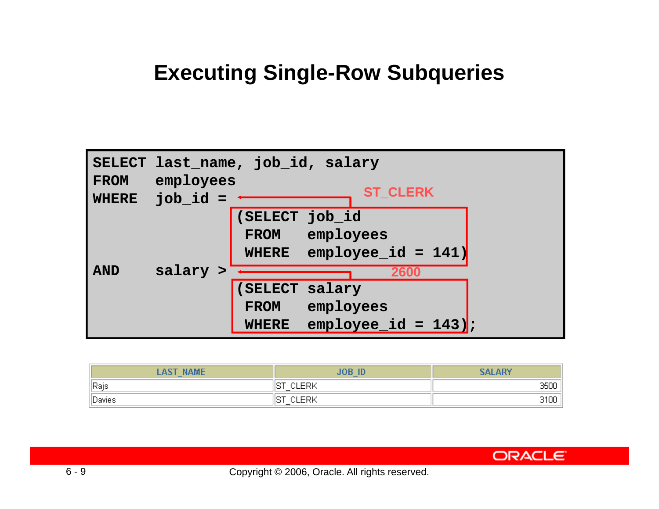#### **Executing Single-Row Subqueries**



| <b>NAME</b><br><b>AST</b><br>$\overline{\phantom{0}}$ | JOB.<br>$\overline{\phantom{0}}$ | <b>SALARY</b> |
|-------------------------------------------------------|----------------------------------|---------------|
| Rajs                                                  | CLERK<br>و ایران<br><b>ت</b> ا   | 3500          |
| Davies                                                | _ERK<br>ı.                       | 3100          |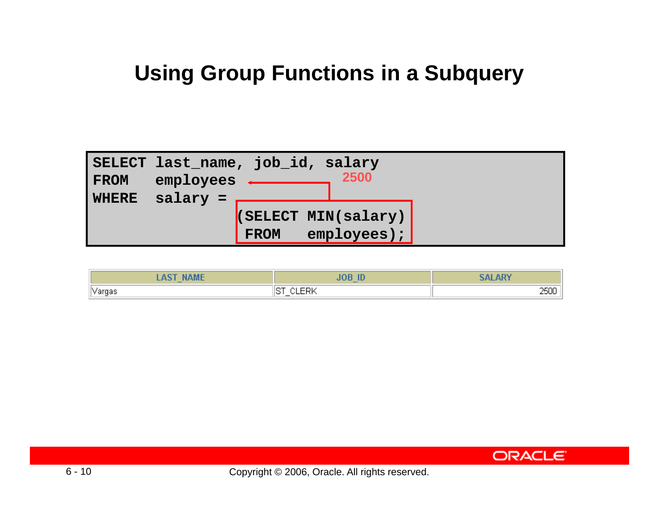## **Using Group Functions in a Subquery**



| .<br><b>AST</b><br>۹AN<br>чина<br>$\overline{\phantom{0}}$ | IOR <sup>1</sup><br>ID.<br>$\overline{\phantom{0}}$ | <b>ADY</b> |
|------------------------------------------------------------|-----------------------------------------------------|------------|
| Vargas                                                     | CLERK<br>∣ ∪ ∣                                      | 2500       |

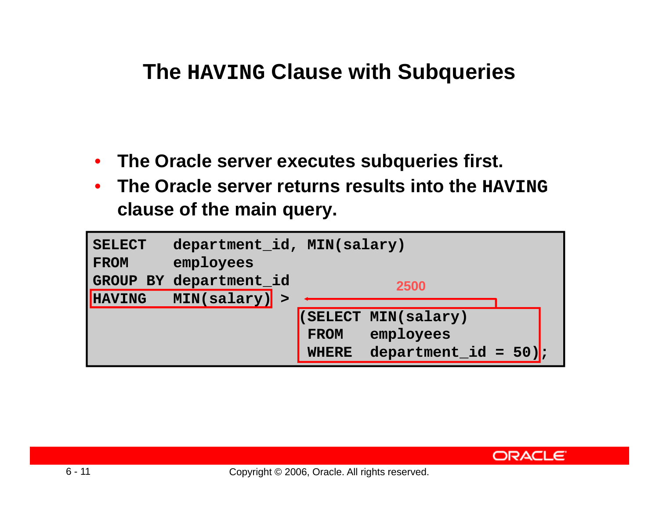#### **The HAVING Clause with Subqueries**

- •**The Oracle server executes subqueries first first.**
- • **The Oracle server returns results into the HAVINGclause of the main query.**



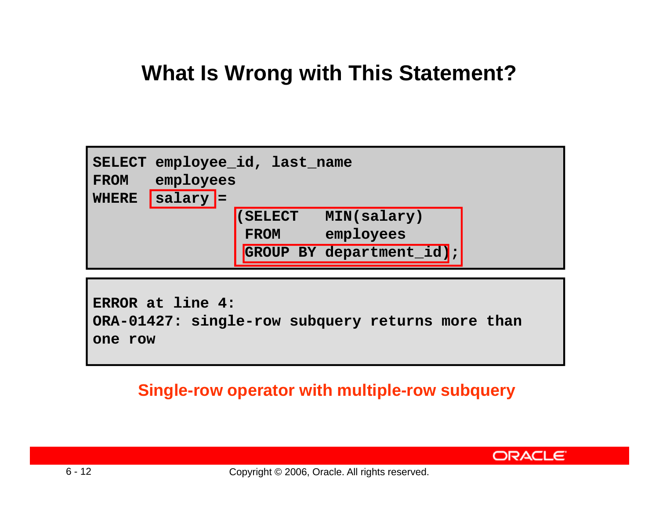#### **What Is Wrong with This Statement?**





**Single-row operator with multiple-row subquery**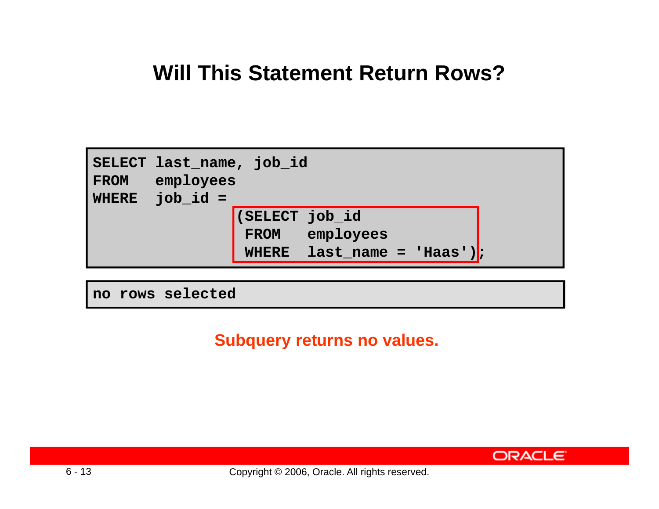#### **Will This Statement Return Rows?**

| <b>FROM</b><br><b>WHERE</b> | SELECT last_name, job_id<br>employees<br>job_id = |                                               |                                      |  |  |
|-----------------------------|---------------------------------------------------|-----------------------------------------------|--------------------------------------|--|--|
|                             |                                                   | (SELECT job_id<br><b>FROM</b><br><b>WHERE</b> | employees<br>$last_name = 'Haas')$ ; |  |  |

**no rows selected**

#### **Subquery returns no values.**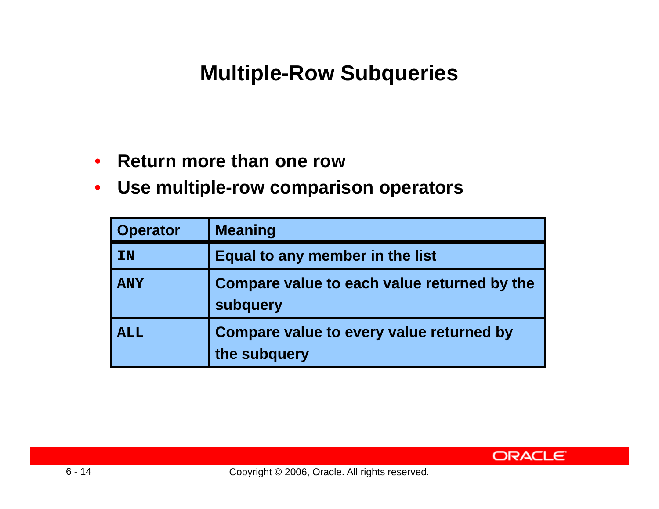## **Multiple-Row Subqueries**

- $\bullet$ **Return more than one row**
- $\bullet$ **Use multiple-row comparison operators**

| <b>Operator</b> | <b>Meaning</b>                                                  |
|-----------------|-----------------------------------------------------------------|
| IN              | Equal to any member in the list                                 |
| <b>ANY</b>      | Compare value to each value returned by the<br>subquery         |
| <b>ALL</b>      | <b>Compare value to every value returned by</b><br>the subquery |

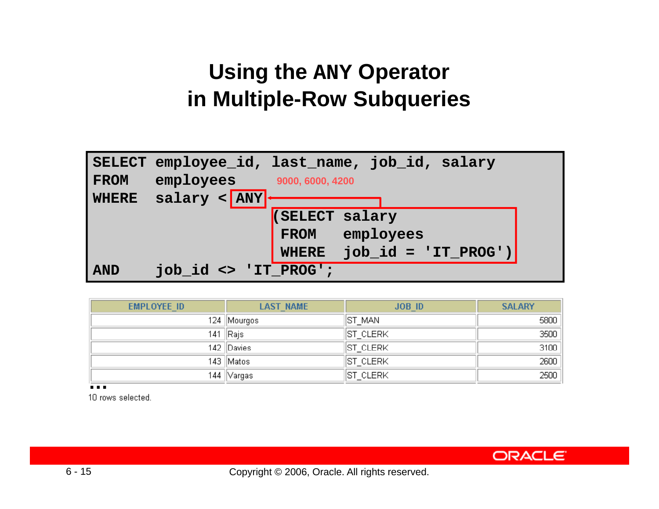## **Using the ANY Operator i M lti l R Sb i in Multiple-Row Subqueries**

|              |                               | SELECT employee_id, last_name, job_id, salary |
|--------------|-------------------------------|-----------------------------------------------|
| <b>FROM</b>  | employees                     | 9000, 6000, 4200                              |
| <b>WHERE</b> | salary < ANY                  |                                               |
|              |                               | (SELECT salary                                |
|              |                               | employees<br><b>FROM</b>                      |
|              |                               | $job id = 'IT PROG')$<br><b>WHERE</b>         |
| <b>AND</b>   | job id $\langle$ > 'IT PROG'; |                                               |

| <b>EMPLOYEE ID</b><br>LAST NAME |             | <b>JOB ID</b>        | <b>SALARY</b> |
|---------------------------------|-------------|----------------------|---------------|
| 124   Mourgos                   |             | ST MAN               | 5800          |
|                                 | 141   Rajs  | ST CLERK             | 3500          |
|                                 | 142 Davies  | $\parallel$ ST CLERK | 3100          |
|                                 | 143   Matos | ST CLERK             | 2600          |
| 144 ∥∀argas                     |             | ST CLERK             | 2500          |

**…**

10 rows selected.

**ORACLE**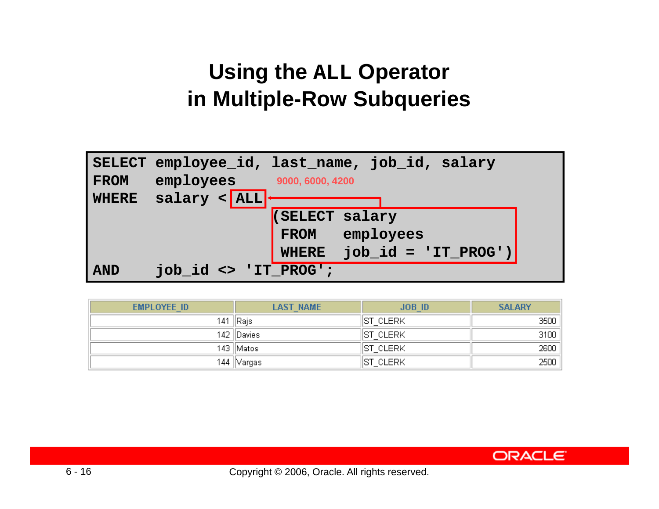## **Using the ALL Operator i M lti l R Sb i in Multiple-Row Subqueries**

|             | SELECT employee_id, last_name, job_id, salary |                  |           |                     |  |
|-------------|-----------------------------------------------|------------------|-----------|---------------------|--|
| <b>FROM</b> | employees                                     | 9000, 6000, 4200 |           |                     |  |
| WHERE       | salary < ALL                                  |                  |           |                     |  |
|             |                                               | (SELECT salary   |           |                     |  |
|             |                                               | <b>FROM</b>      | employees |                     |  |
|             |                                               | <b>WHERE</b>     |           | job_id = 'IT_PROG') |  |
| AND         | job id $\langle$ > 'IT PROG';                 |                  |           |                     |  |

| <b>EMPLOYEE ID</b> | LAST NAME        | <b>JOB ID</b> | <b>SALARY</b> |
|--------------------|------------------|---------------|---------------|
| 141                | $\parallel$ Rajs | IST CLERK     | 3500          |
|                    | 142 Davies       | ST CLERK      | 3100          |
|                    | 143   Matos      | ST CLERK      | 2600          |
|                    | 144   Vargas     | IST CLERK     | 2500          |

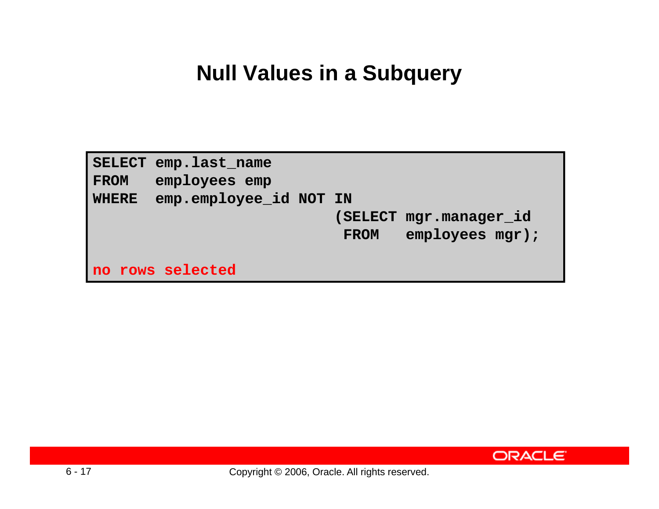#### **Null Values in a Subquery**

| <b>FROM</b><br><b>WHERE</b> | SELECT emp.last name<br>employees emp<br>emp.employee_id NOT IN | <b>FROM</b> | (SELECT mgr.manager_id<br>employees mgr); |
|-----------------------------|-----------------------------------------------------------------|-------------|-------------------------------------------|
|                             | no rows selected                                                |             |                                           |

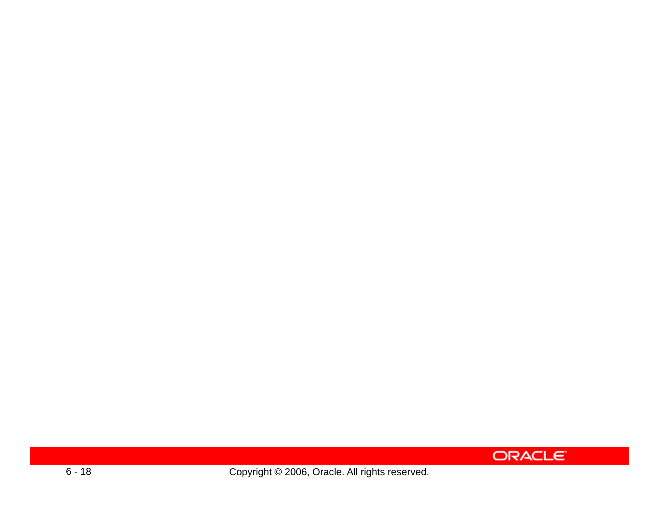